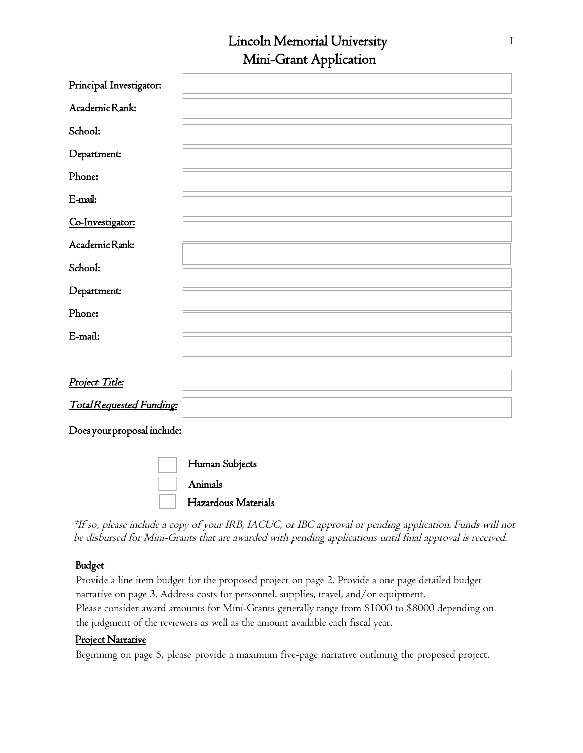## Lincoln Memorial University 1 Mini-Grant Application

| Principal Investigator:     |  |  |  |  |
|-----------------------------|--|--|--|--|
| Academic Rank:              |  |  |  |  |
| School:                     |  |  |  |  |
| Department:                 |  |  |  |  |
| Phone:                      |  |  |  |  |
| E-mail:                     |  |  |  |  |
| Co-Investigator:            |  |  |  |  |
| Academic Rank:              |  |  |  |  |
| School:                     |  |  |  |  |
| Department:                 |  |  |  |  |
| Phone:                      |  |  |  |  |
| E-mail:                     |  |  |  |  |
|                             |  |  |  |  |
| Project Title:              |  |  |  |  |
| TotalRequested Funding:     |  |  |  |  |
| Does your proposal include: |  |  |  |  |
| $\overline{\phantom{a}}$    |  |  |  |  |

| Human Subjects      |
|---------------------|
| Animals             |
| Hazardous Materials |

\*If so, please include a copy of your IRB, IACUC, or IBC approval or pending application. Funds will not be disbursed for Mini-Grants that are awarded with pending applications until final approval is received.

## Budget

Provide a line item budget for the proposed project on page 2. Provide a one page detailed budget narrative on page 3. Address costs for personnel, supplies, travel, and/or equipment. Please consider award amounts for Mini-Grants generally range from \$1000 to \$8000 depending on the judgment of the reviewers as well as the amount available each fiscal year.

### Project Narrative

Beginning on page 5, please provide a maximum five-page narrative outlining the proposed project.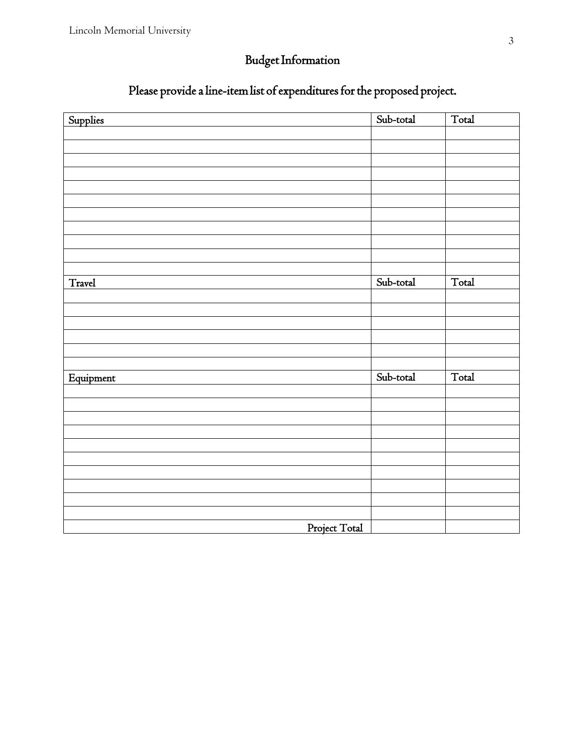# Budget Information

## Please provide a line-item list of expenditures for the proposed project.

| Supplies      | Sub-total | Total |  |  |  |
|---------------|-----------|-------|--|--|--|
|               |           |       |  |  |  |
|               |           |       |  |  |  |
|               |           |       |  |  |  |
|               |           |       |  |  |  |
|               |           |       |  |  |  |
|               |           |       |  |  |  |
|               |           |       |  |  |  |
|               |           |       |  |  |  |
|               |           |       |  |  |  |
|               |           |       |  |  |  |
|               |           |       |  |  |  |
| Travel        | Sub-total | Total |  |  |  |
|               |           |       |  |  |  |
|               |           |       |  |  |  |
|               |           |       |  |  |  |
|               |           |       |  |  |  |
|               |           |       |  |  |  |
|               |           |       |  |  |  |
| Equipment     | Sub-total | Total |  |  |  |
|               |           |       |  |  |  |
|               |           |       |  |  |  |
|               |           |       |  |  |  |
|               |           |       |  |  |  |
|               |           |       |  |  |  |
|               |           |       |  |  |  |
|               |           |       |  |  |  |
|               |           |       |  |  |  |
|               |           |       |  |  |  |
|               |           |       |  |  |  |
| Project Total |           |       |  |  |  |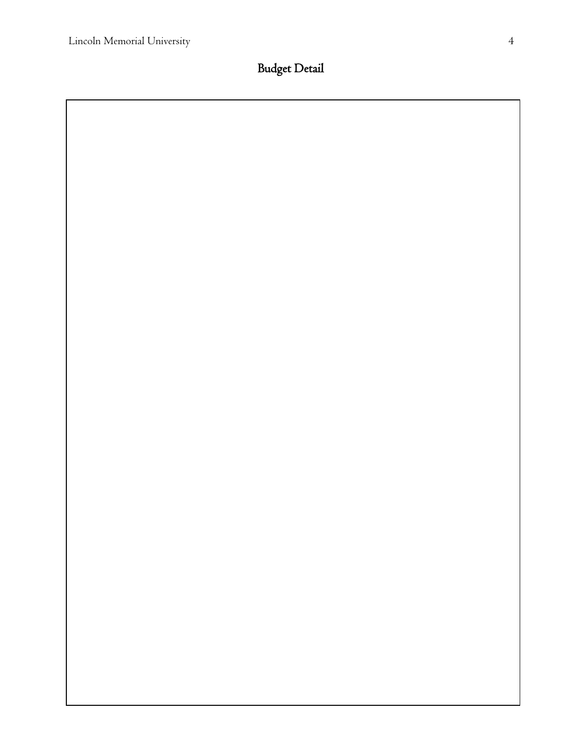Budget Detail

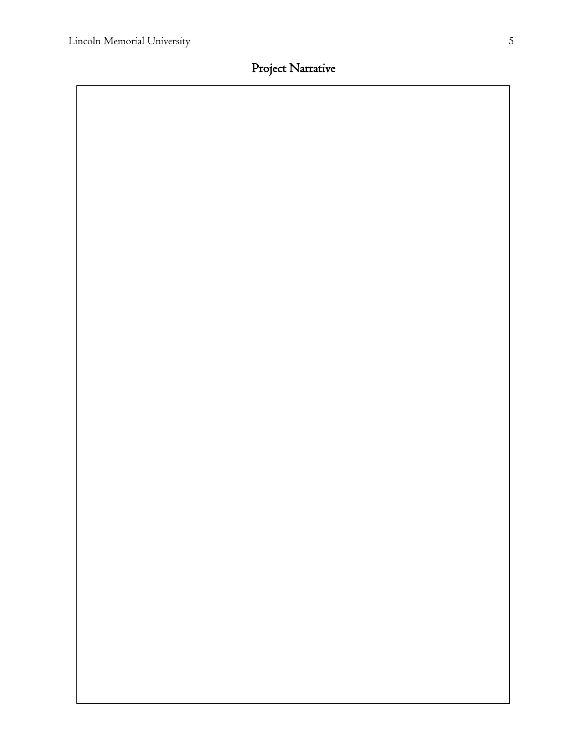